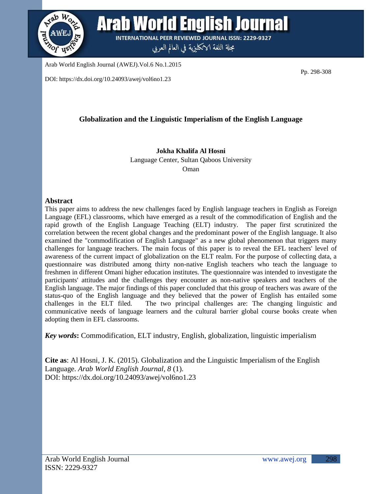

**Arab World English Journal INTERNATIONAL PEER REVIEWED JOURNAL ISSN: 2229-9327** 

مجلة اللغة الانكليزية في العالم العربي

Arab World English Journal (AWEJ).Vol.6 No.1.2015

DOI: https://dx.doi.org/10.24093/awej/vol6no1.23

# **Globalization and the Linguistic Imperialism of the English Language**

# **Jokha Khalifa Al Hosni**

Language Center, Sultan Qaboos University

Oman

## **Abstract**

This paper aims to address the new challenges faced by English language teachers in English as Foreign Language (EFL) classrooms, which have emerged as a result of the commodification of English and the rapid growth of the English Language Teaching (ELT) industry. The paper first scrutinized the correlation between the recent global changes and the predominant power of the English language. It also examined the "commodification of English Language" as a new global phenomenon that triggers many challenges for language teachers. The main focus of this paper is to reveal the EFL teachers' level of awareness of the current impact of globalization on the ELT realm. For the purpose of collecting data, a questionnaire was distributed among thirty non-native English teachers who teach the language to freshmen in different Omani higher education institutes. The questionnaire was intended to investigate the participants' attitudes and the challenges they encounter as non-native speakers and teachers of the English language. The major findings of this paper concluded that this group of teachers was aware of the status-quo of the English language and they believed that the power of English has entailed some challenges in the ELT filed. The two principal challenges are: The changing linguistic and communicative needs of language learners and the cultural barrier global course books create when adopting them in EFL classrooms.

*Key words***:** Commodification, ELT industry, English, globalization, linguistic imperialism

**Cite as**: Al Hosni, J. K. (2015). Globalization and the Linguistic Imperialism of the English Language. *Arab World English Journal, 8* (1). DOI: https://dx.doi.org/10.24093/awej/vol6no1.23

Pp. 298-308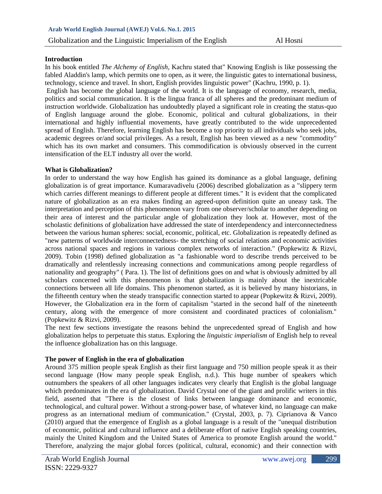# Aldubai **Introduction**

In his book entitled *The Alchemy of English,* Kachru stated that" Knowing English is like possessing the fabled Aladdin's lamp, which permits one to open, as it were, the linguistic gates to international business, technology, science and travel. In short, English provides linguistic power" (Kachru, 1990, p. 1).

English has become the global language of the world. It is the language of economy, research, media, politics and social communication. It is the lingua franca of all spheres and the predominant medium of instruction worldwide. Globalization has undoubtedly played a significant role in creating the status-quo of English language around the globe. Economic, political and cultural globalizations, in their international and highly influential movements, have greatly contributed to the wide unprecedented spread of English. Therefore, learning English has become a top priority to all individuals who seek jobs, academic degrees or/and social privileges. As a result, English has been viewed as a new "commodity" which has its own market and consumers. This commodification is obviously observed in the current intensification of the ELT industry all over the world.

#### **What is Globalization?**

In order to understand the way how English has gained its dominance as a global language, defining globalization is of great importance. Kumaravadivelu (2006) described globalization as a "slippery term which carries different meanings to different people at different times." It is evident that the complicated nature of globalization as an era makes finding an agreed-upon definition quite an uneasy task. The interpretation and perception of this phenomenon vary from one observer/scholar to another depending on their area of interest and the particular angle of globalization they look at. However, most of the scholastic definitions of globalization have addressed the state of interdependency and interconnectedness between the various human spheres: social, economic, political, etc. Globalization is repeatedly defined as "new patterns of worldwide interconnectedness- the stretching of social relations and economic activities across national spaces and regions in various complex networks of interaction." (Popkewitz & Rizvi, 2009). Tobin (1998) defined globalization as "a fashionable word to describe trends perceived to be dramatically and relentlessly increasing connections and communications among people regardless of nationality and geography" ( Para. 1). The list of definitions goes on and what is obviously admitted by all scholars concerned with this phenomenon is that globalization is mainly about the inextricable connections between all life domains. This phenomenon started, as it is believed by many historians, in the fifteenth century when the steady transpacific connection started to appear (Popkewitz & Rizvi, 2009). However, the Globalization era in the form of capitalism "started in the second half of the nineteenth century, along with the emergence of more consistent and coordinated practices of colonialism." (Popkewitz & Rizvi, 2009).

The next few sections investigate the reasons behind the unprecedented spread of English and how globalization helps to perpetuate this status. Exploring the *linguistic imperialism* of English help to reveal the influence globalization has on this language.

#### **The power of English in the era of globalization**

Around 375 million people speak English as their first language and 750 million people speak it as their second language (How many people speak English, n.d.). This huge number of speakers which outnumbers the speakers of all other languages indicates very clearly that English is the global language which predominates in the era of globalization. David Crystal one of the giant and prolific writers in this field, asserted that "There is the closest of links between language dominance and economic, technological, and cultural power. Without a strong-power base, of whatever kind, no language can make progress as an international medium of communication." (Crystal, 2003, p. 7). Ciprianova & Vanco (2010) argued that the emergence of English as a global language is a result of the "unequal distribution of economic, political and cultural influence and a deliberate effort of native English speaking countries, mainly the United Kingdom and the United States of America to promote English around the world." Therefore, analyzing the major global forces (political, cultural, economic) and their connection with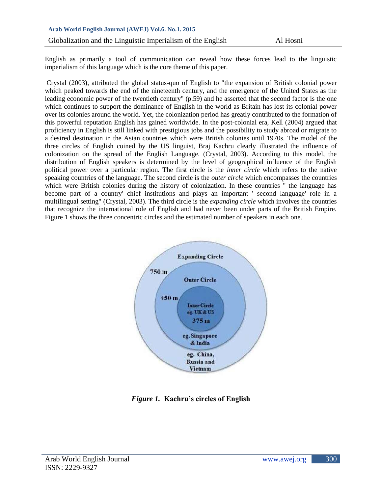Globalization and the Linguistic Imperialism of the English Al Hosni

English as primarily a tool of communication can reveal how these forces lead to the linguistic imperialism of this language which is the core theme of this paper.

Crystal (2003), attributed the global status-quo of English to "the expansion of British colonial power which peaked towards the end of the nineteenth century, and the emergence of the United States as the leading economic power of the twentieth century" (p.59) and he asserted that the second factor is the one which continues to support the dominance of English in the world as Britain has lost its colonial power over its colonies around the world. Yet, the colonization period has greatly contributed to the formation of this powerful reputation English has gained worldwide. In the post-colonial era, Kell (2004) argued that proficiency in English is still linked with prestigious jobs and the possibility to study abroad or migrate to a desired destination in the Asian countries which were British colonies until 1970s. The model of the three circles of English coined by the US linguist, Braj Kachru clearly illustrated the influence of colonization on the spread of the English Language. (Crystal, 2003). According to this model, the distribution of English speakers is determined by the level of geographical influence of the English political power over a particular region. The first circle is the *inner circle* which refers to the native speaking countries of the language. The second circle is the *outer circle* which encompasses the countries which were British colonies during the history of colonization. In these countries " the language has become part of a country' chief institutions and plays an important ' second language' role in a multilingual setting" (Crystal, 2003). The third circle is the *expanding circle* which involves the countries that recognize the international role of English and had never been under parts of the British Empire. Figure 1 shows the three concentric circles and the estimated number of speakers in each one.



*Figure 1.* **Kachru's circles of English**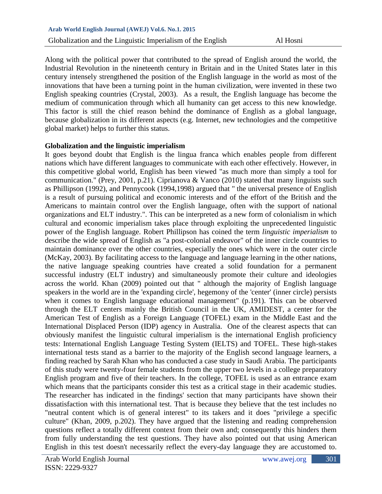Globalization and the Linguistic Imperialism of the English Al Hosni

Along with the political power that contributed to the spread of English around the world, the Industrial Revolution in the nineteenth century in Britain and in the United States later in this century intensely strengthened the position of the English language in the world as most of the innovations that have been a turning point in the human civilization, were invented in these two English speaking countries (Crystal, 2003). As a result, the English language has become the medium of communication through which all humanity can get access to this new knowledge. This factor is still the chief reason behind the dominance of English as a global language, because globalization in its different aspects (e.g. Internet, new technologies and the competitive global market) helps to further this status.

## **Globalization and the linguistic imperialism**

It goes beyond doubt that English is the lingua franca which enables people from different nations which have different languages to communicate with each other effectively. However, in this competitive global world, English has been viewed "as much more than simply a tool for communication." (Prey, 2001, p.21). Ciprianova & Vanco (2010) stated that many linguists such as Phillipson (1992), and Pennycook (1994,1998) argued that " the universal presence of English is a result of pursuing political and economic interests and of the effort of the British and the Americans to maintain control over the English language, often with the support of national organizations and ELT industry.". This can be interpreted as a new form of colonialism in which cultural and economic imperialism takes place through exploiting the unprecedented linguistic power of the English language. Robert Phillipson has coined the term *linguistic imperialism* to describe the wide spread of English as "a post-colonial endeavor" of the inner circle countries to maintain dominance over the other countries, especially the ones which were in the outer circle (McKay, 2003). By facilitating access to the language and language learning in the other nations, the native language speaking countries have created a solid foundation for a permanent successful industry (ELT industry) and simultaneously promote their culture and ideologies across the world. Khan (2009) pointed out that " although the majority of English language speakers in the world are in the 'expanding circle', hegemony of the 'center' (inner circle) persists when it comes to English language educational management" (p.191). This can be observed through the ELT centers mainly the British Council in the UK, AMIDEST, a center for the American Test of English as a Foreign Language (TOFEL) exam in the Middle East and the International Displaced Person (IDP) agency in Australia. One of the clearest aspects that can obviously manifest the linguistic cultural imperialism is the international English proficiency tests: International English Language Testing System (IELTS) and TOFEL. These high-stakes international tests stand as a barrier to the majority of the English second language learners, a finding reached by Sarah Khan who has conducted a case study in Saudi Arabia. The participants of this study were twenty-four female students from the upper two levels in a college preparatory English program and five of their teachers. In the college, TOFEL is used as an entrance exam which means that the participants consider this test as a critical stage in their academic studies. The researcher has indicated in the findings' section that many participants have shown their dissatisfaction with this international test. That is because they believe that the test includes no "neutral content which is of general interest" to its takers and it does "privilege a specific culture" (Khan, 2009, p.202). They have argued that the listening and reading comprehension questions reflect a totally different context from their own and; consequently this hinders them from fully understanding the test questions. They have also pointed out that using American English in this test doesn't necessarily reflect the every-day language they are accustomed to.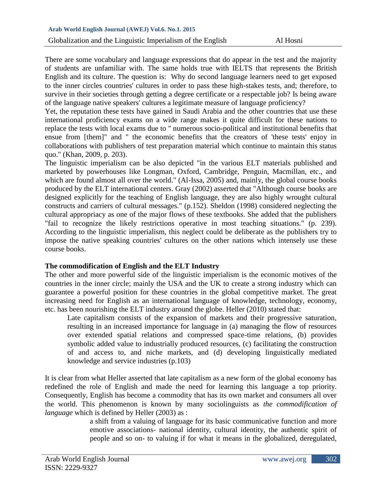#### **Arab World English Journal (AWEJ) Vol.6. No.1. 2015**

There are some vocabulary and language expressions that do appear in the test and the majority of students are unfamiliar with. The same holds true with IELTS that represents the British English and its culture. The question is: Why do second language learners need to get exposed to the inner circles countries' cultures in order to pass these high-stakes tests, and; therefore, to survive in their societies through getting a degree certificate or a respectable job? Is being aware of the language native speakers' cultures a legitimate measure of language proficiency?

Yet, the reputation these tests have gained in Saudi Arabia and the other countries that use these international proficiency exams on a wide range makes it quite difficult for these nations to replace the tests with local exams due to " numerous socio-political and institutional benefits that ensue from [them]" and " the economic benefits that the creators of 'these tests' enjoy in collaborations with publishers of test preparation material which continue to maintain this status quo." (Khan, 2009, p. 203).

The linguistic imperialism can be also depicted "in the various ELT materials published and marketed by powerhouses like Longman, Oxford, Cambridge, Penguin, Macmillan, etc., and which are found almost all over the world." (Al-Issa, 2005) and, mainly, the global course books produced by the ELT international centers. Gray (2002) asserted that "Although course books are designed explicitly for the teaching of English language, they are also highly wrought cultural constructs and carriers of cultural messages." (p.152). Sheldon (1998) considered neglecting the cultural appropriacy as one of the major flows of these textbooks. She added that the publishers "fail to recognize the likely restrictions operative in most teaching situations." (p. 239). According to the linguistic imperialism, this neglect could be deliberate as the publishers try to impose the native speaking countries' cultures on the other nations which intensely use these course books.

## **The commodification of English and the ELT Industry**

The other and more powerful side of the linguistic imperialism is the economic motives of the countries in the inner circle; mainly the USA and the UK to create a strong industry which can guarantee a powerful position for these countries in the global competitive market. The great increasing need for English as an international language of knowledge, technology, economy, etc. has been nourishing the ELT industry around the globe. Heller (2010) stated that:

Late capitalism consists of the expansion of markets and their progressive saturation, resulting in an increased importance for language in (a) managing the flow of resources over extended spatial relations and compressed space-time relations, (b) provides symbolic added value to industrially produced resources, (c) facilitating the construction of and access to, and niche markets, and (d) developing linguistically mediated knowledge and service industries (p.103)

It is clear from what Heller asserted that late capitalism as a new form of the global economy has redefined the role of English and made the need for learning this language a top priority. Consequently, English has become a commodity that has its own market and consumers all over the world. This phenomenon is known by many sociolinguists as *the commodification of language* which is defined by Heller (2003) as :

> a shift from a valuing of language for its basic communicative function and more emotive associations- national identity, cultural identity, the authentic spirit of people and so on- to valuing if for what it means in the globalized, deregulated,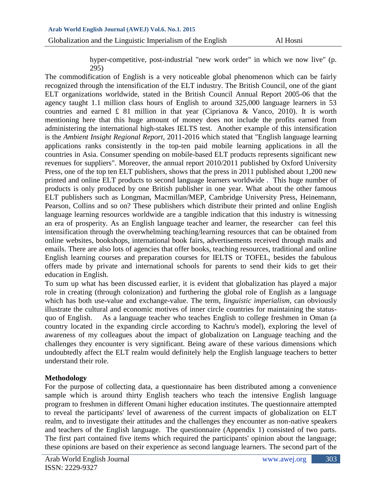Globalization and the Linguistic Imperialism of the English Al Hosni

hyper-competitive, post-industrial "new work order" in which we now live" (p. 295)

The commodification of English is a very noticeable global phenomenon which can be fairly recognized through the intensification of the ELT industry. The British Council, one of the giant ELT organizations worldwide, stated in the British Council Annual Report 2005-06 that the agency taught 1.1 million class hours of English to around 325,000 language learners in 53 countries and earned  $£ 81$  million in that year (Ciprianova  $&$  Vanco, 2010). It is worth mentioning here that this huge amount of money does not include the profits earned from administering the international high-stakes IELTS test. Another example of this intensification is the *Ambient Insight Regional Report*, 2011-2016 which stated that "English language learning applications ranks consistently in the top-ten paid mobile learning applications in all the countries in Asia. Consumer spending on mobile-based ELT products represents significant new revenues for suppliers". Moreover, the annual report 2010/2011 published by Oxford University Press, one of the top ten ELT publishers, shows that the press in 2011 published about 1,200 new printed and online ELT products to second language learners worldwide . This huge number of products is only produced by one British publisher in one year. What about the other famous ELT publishers such as Longman, Macmillan/MEP, Cambridge University Press, Heinemann, Pearson, Collins and so on? These publishers which distribute their printed and online English language learning resources worldwide are a tangible indication that this industry is witnessing an era of prosperity. As an English language teacher and learner, the researcher can feel this intensification through the overwhelming teaching/learning resources that can be obtained from online websites, bookshops, international book fairs, advertisements received through mails and emails. There are also lots of agencies that offer books, teaching resources, traditional and online English learning courses and preparation courses for IELTS or TOFEL, besides the fabulous offers made by private and international schools for parents to send their kids to get their education in English.

To sum up what has been discussed earlier, it is evident that globalization has played a major role in creating (through colonization) and furthering the global role of English as a language which has both use-value and exchange-value. The term, *linguistic imperialism,* can obviously illustrate the cultural and economic motives of inner circle countries for maintaining the statusquo of English. As a language teacher who teaches English to college freshmen in Oman (a country located in the expanding circle according to Kachru's model), exploring the level of awareness of my colleagues about the impact of globalization on Language teaching and the challenges they encounter is very significant. Being aware of these various dimensions which undoubtedly affect the ELT realm would definitely help the English language teachers to better understand their role.

## **Methodology**

For the purpose of collecting data, a questionnaire has been distributed among a convenience sample which is around thirty English teachers who teach the intensive English language program to freshmen in different Omani higher education institutes. The questionnaire attempted to reveal the participants' level of awareness of the current impacts of globalization on ELT realm, and to investigate their attitudes and the challenges they encounter as non-native speakers and teachers of the English language. The questionnaire (Appendix 1) consisted of two parts. The first part contained five items which required the participants' opinion about the language; these opinions are based on their experience as second language learners. The second part of the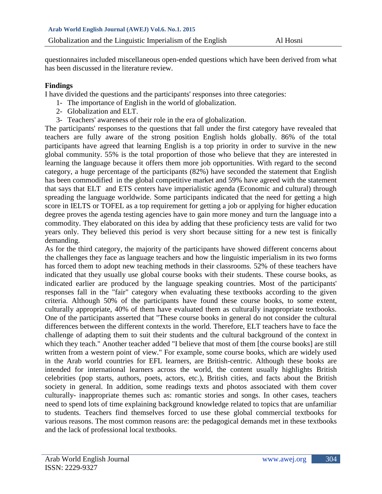questionnaires included miscellaneous open-ended questions which have been derived from what has been discussed in the literature review.

## **Findings**

I have divided the questions and the participants' responses into three categories:

- 1- The importance of English in the world of globalization.
- 2- Globalization and ELT.
- 3- Teachers' awareness of their role in the era of globalization.

The participants' responses to the questions that fall under the first category have revealed that teachers are fully aware of the strong position English holds globally. 86% of the total participants have agreed that learning English is a top priority in order to survive in the new global community. 55% is the total proportion of those who believe that they are interested in learning the language because it offers them more job opportunities. With regard to the second category, a huge percentage of the participants (82%) have seconded the statement that English has been commodified in the global competitive market and 59% have agreed with the statement that says that ELT and ETS centers have imperialistic agenda (Economic and cultural) through spreading the language worldwide. Some participants indicated that the need for getting a high score in IELTS or TOFEL as a top requirement for getting a job or applying for higher education degree proves the agenda testing agencies have to gain more money and turn the language into a commodity. They elaborated on this idea by adding that these proficiency tests are valid for two years only. They believed this period is very short because sitting for a new test is finically demanding.

As for the third category, the majority of the participants have showed different concerns about the challenges they face as language teachers and how the linguistic imperialism in its two forms has forced them to adopt new teaching methods in their classrooms. 52% of these teachers have indicated that they usually use global course books with their students. These course books, as indicated earlier are produced by the language speaking countries. Most of the participants' responses fall in the "fair" category when evaluating these textbooks according to the given criteria. Although 50% of the participants have found these course books, to some extent, culturally appropriate, 40% of them have evaluated them as culturally inappropriate textbooks. One of the participants asserted that "These course books in general do not consider the cultural differences between the different contexts in the world. Therefore, ELT teachers have to face the challenge of adapting them to suit their students and the cultural background of the context in which they teach." Another teacher added "I believe that most of them [the course books] are still written from a western point of view." For example, some course books, which are widely used in the Arab world countries for EFL learners, are British-centric. Although these books are intended for international learners across the world, the content usually highlights British celebrities (pop starts, authors, poets, actors, etc.), British cities, and facts about the British society in general. In addition, some readings texts and photos associated with them cover culturally- inappropriate themes such as: romantic stories and songs. In other cases, teachers need to spend lots of time explaining background knowledge related to topics that are unfamiliar to students. Teachers find themselves forced to use these global commercial textbooks for various reasons. The most common reasons are: the pedagogical demands met in these textbooks and the lack of professional local textbooks.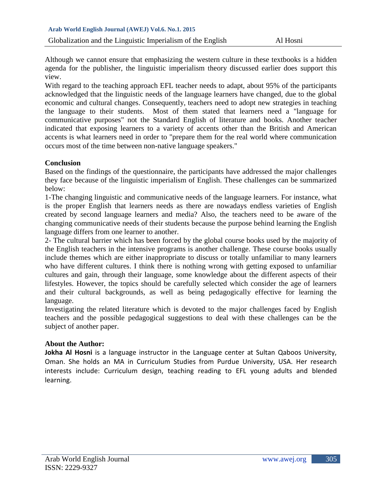Although we cannot ensure that emphasizing the western culture in these textbooks is a hidden agenda for the publisher, the linguistic imperialism theory discussed earlier does support this view.

With regard to the teaching approach EFL teacher needs to adapt, about 95% of the participants acknowledged that the linguistic needs of the language learners have changed, due to the global economic and cultural changes. Consequently, teachers need to adopt new strategies in teaching the language to their students. Most of them stated that learners need a "language for communicative purposes" not the Standard English of literature and books. Another teacher indicated that exposing learners to a variety of accents other than the British and American accents is what learners need in order to "prepare them for the real world where communication occurs most of the time between non-native language speakers."

## **Conclusion**

Based on the findings of the questionnaire, the participants have addressed the major challenges they face because of the linguistic imperialism of English. These challenges can be summarized below:

1-The changing linguistic and communicative needs of the language learners. For instance, what is the proper English that learners needs as there are nowadays endless varieties of English created by second language learners and media? Also, the teachers need to be aware of the changing communicative needs of their students because the purpose behind learning the English language differs from one learner to another.

2- The cultural barrier which has been forced by the global course books used by the majority of the English teachers in the intensive programs is another challenge. These course books usually include themes which are either inappropriate to discuss or totally unfamiliar to many learners who have different cultures. I think there is nothing wrong with getting exposed to unfamiliar cultures and gain, through their language, some knowledge about the different aspects of their lifestyles. However, the topics should be carefully selected which consider the age of learners and their cultural backgrounds, as well as being pedagogically effective for learning the language.

Investigating the related literature which is devoted to the major challenges faced by English teachers and the possible pedagogical suggestions to deal with these challenges can be the subject of another paper.

## **About the Author:**

**Jokha Al Hosni** is a language instructor in the Language center at Sultan Qaboos University, Oman. She holds an MA in Curriculum Studies from Purdue University, USA. Her research interests include: Curriculum design, teaching reading to EFL young adults and blended learning.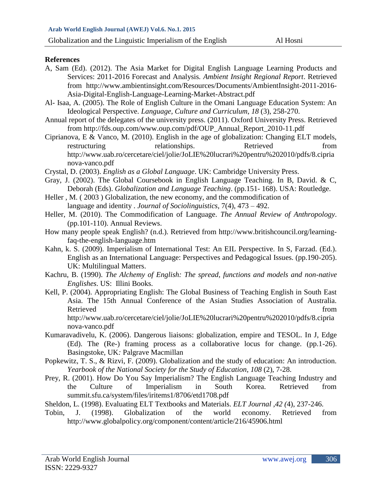# Aldubai **References**

- A, Sam (Ed). (2012). The Asia Market for Digital English Language Learning Products and Services: 2011-2016 Forecast and Analysis*. Ambient Insight Regional Report*. Retrieved from [http://www.ambientinsight.com/Resources/Documents/AmbientInsight-2011-2016-](http://www.ambientinsight.com/Resources/Documents/AmbientInsight-2011-2016-Asia-Digital-English-Language-Learning-Market-Abstract.pdf) [Asia-Digital-English-Language-Learning-Market-Abstract.pdf](http://www.ambientinsight.com/Resources/Documents/AmbientInsight-2011-2016-Asia-Digital-English-Language-Learning-Market-Abstract.pdf)
- Al- Isaa, A. (2005). The Role of English Culture in the Omani Language Education System: An Ideological Perspective. *Language, Culture and Curriculum*, *18* (3), 258-270.
- Annual report of the delegates of the university press. (2011). Oxford University Press. Retrieved from [http://fds.oup.com/www.oup.com/pdf/OUP\\_Annual\\_Report\\_2010-11.pdf](http://fds.oup.com/www.oup.com/pdf/OUP_Annual_Report_2010-11.pdf)
- Ciprianova, E & Vanco, M. (2010). English in the age of globalization: Changing ELT models, restructuring relationships. Retrieved from [http://www.uab.ro/cercetare/ciel/jolie/JoLIE%20lucrari%20pentru%202010/pdfs/8.cipria](http://www.uab.ro/cercetare/ciel/jolie/JoLIE%20lucrari%20pentru%202010/pdfs/8.ciprianova-vanco.pdf) [nova-vanco.pdf](http://www.uab.ro/cercetare/ciel/jolie/JoLIE%20lucrari%20pentru%202010/pdfs/8.ciprianova-vanco.pdf)
- Crystal, D. (2003). *English as a Global Language*. UK: Cambridge University Press.
- Gray, J. (2002). The Global Coursebook in English Language Teaching. In B, David. & C, Deborah (Eds). *Globalization and Language Teaching*. (pp.151- 168). USA: Routledge.
- Heller , M. ( 2003 ) Globalization, the new economy, and the commodification of language and identity . *Journal of Sociolinguistics*, 7(4), 473 – 492.
- Heller, M. (2010). The Commodification of Language. *The Annual Review of Anthropology*. (pp.101-110). Annual Reviews.
- How many people speak English? (n.d.). Retrieved from [http://www.britishcouncil.org/learning](http://www.britishcouncil.org/learning-faq-the-english-language.htm)[faq-the-english-language.htm](http://www.britishcouncil.org/learning-faq-the-english-language.htm)
- Kahn, k. S. (2009). Imperialism of International Test: An EIL Perspective. In S, Farzad. (Ed.). English as an International Language: Perspectives and Pedagogical Issues. (pp.190-205). UK: Multilingual Matters.
- Kachru, B. (1990). *The Alchemy of English: The spread, functions and models and non-native Englishes*. US: Illini Books.
- Kell, P. (2004). Appropriating English: The Global Business of Teaching English in South East Asia. The 15th Annual Conference of the Asian Studies Association of Australia. Retrieved from the state of the state of the state of the state of the state of the state of the state of the state of the state of the state of the state of the state of the state of the state of the state of the state of

[http://www.uab.ro/cercetare/ciel/jolie/JoLIE%20lucrari%20pentru%202010/pdfs/8.cipria](http://www.uab.ro/cercetare/ciel/jolie/JoLIE%20lucrari%20pentru%202010/pdfs/8.ciprianova-vanco.pdf) [nova-vanco.pdf](http://www.uab.ro/cercetare/ciel/jolie/JoLIE%20lucrari%20pentru%202010/pdfs/8.ciprianova-vanco.pdf)

- Kumaravadivelu, K. (2006). Dangerous liaisons: globalization, empire and TESOL. In J, Edge (Ed). The (Re-) framing process as a collaborative locus for change. (pp.1-26). Basingstoke, UK*:* Palgrave Macmillan
- Popkewitz, T. S., & Rizvi, F. (2009). Globalization and the study of education: An introduction. *Yearbook of the National Society for the Study of Education*, *108* (2), 7-28.
- Prey, R. (2001). How Do You Say Imperialism? The English Language Teaching Industry and the Culture of Imperialism in South Korea. Retrieved from [summit.sfu.ca/system/files/iritems1/8706/etd1708.pdf](../../../../ndolby/AppData/Local/Microsoft/Windows/Temporary%20Internet%20Files/Content.Outlook/Q9A5V7BF/summit.sfu.ca/system/files/iritems1/8706/etd1708.pdf)
- Sheldon, L. (1998). Evaluating ELT Textbooks and Materials. *ELT Journal ,42 (*4), 237-246.
- Tobin, J. (1998). Globalization of the world economy. Retrieved from <http://www.globalpolicy.org/component/content/article/216/45906.html>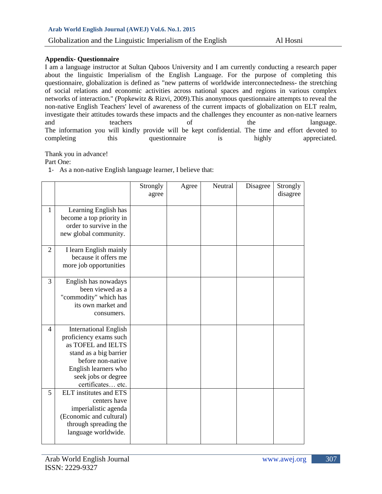#### **Arab World English Journal (AWEJ) Vol.6. No.1. 2015**

#### Globalization and the Linguistic Imperialism of the English Al Hosni

# **Appendix- Questionnaire**

I am a language instructor at Sultan Qaboos University and I am currently conducting a research paper about the linguistic Imperialism of the English Language. For the purpose of completing this questionnaire, globalization is defined as "new patterns of worldwide interconnectedness- the stretching of social relations and economic activities across national spaces and regions in various complex networks of interaction." (Popkewitz & Rizvi, 2009).This anonymous questionnaire attempts to reveal the non-native English Teachers' level of awareness of the current impacts of globalization on ELT realm, investigate their attitudes towards these impacts and the challenges they encounter as non-native learners and teachers of the language. The information you will kindly provide will be kept confidential. The time and effort devoted to completing this questionnaire is highly appreciated.

Thank you in advance!

Part One:

1- As a non-native English language learner, I believe that:

|                          |                                                                                                                                                                                                 | Strongly<br>agree | Agree | Neutral | Disagree | Strongly<br>disagree |
|--------------------------|-------------------------------------------------------------------------------------------------------------------------------------------------------------------------------------------------|-------------------|-------|---------|----------|----------------------|
| 1                        | Learning English has<br>become a top priority in<br>order to survive in the<br>new global community.                                                                                            |                   |       |         |          |                      |
| $\overline{2}$           | I learn English mainly<br>because it offers me<br>more job opportunities                                                                                                                        |                   |       |         |          |                      |
| 3                        | English has nowadays<br>been viewed as a<br>"commodity" which has<br>its own market and<br>consumers.                                                                                           |                   |       |         |          |                      |
| $\overline{\mathcal{A}}$ | <b>International English</b><br>proficiency exams such<br>as TOFEL and IELTS<br>stand as a big barrier<br>before non-native<br>English learners who<br>seek jobs or degree<br>certificates etc. |                   |       |         |          |                      |
| 5                        | <b>ELT</b> institutes and ETS<br>centers have<br>imperialistic agenda<br>(Economic and cultural)<br>through spreading the<br>language worldwide.                                                |                   |       |         |          |                      |